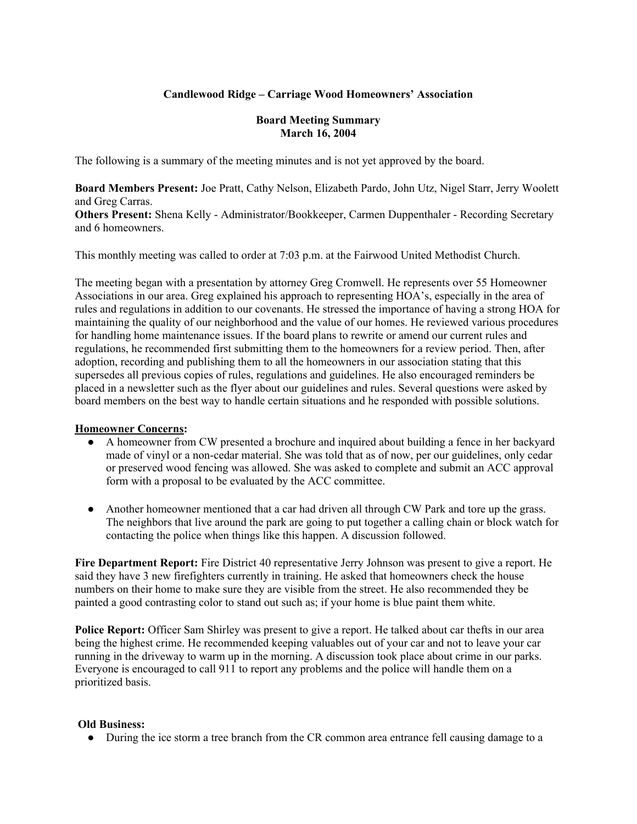# **Candlewood Ridge – Carriage Wood Homeowners' Association**

### **Board Meeting Summary March 16, 2004**

The following is a summary of the meeting minutes and is not yet approved by the board.

**Board Members Present:** Joe Pratt, Cathy Nelson, Elizabeth Pardo, John Utz, Nigel Starr, Jerry Woolett and Greg Carras. **Others Present:** Shena Kelly - Administrator/Bookkeeper, Carmen Duppenthaler - Recording Secretary

This monthly meeting was called to order at 7:03 p.m. at the Fairwood United Methodist Church.

The meeting began with a presentation by attorney Greg Cromwell. He represents over 55 Homeowner Associations in our area. Greg explained his approach to representing HOA's, especially in the area of rules and regulations in addition to our covenants. He stressed the importance of having a strong HOA for maintaining the quality of our neighborhood and the value of our homes. He reviewed various procedures for handling home maintenance issues. If the board plans to rewrite or amend our current rules and regulations, he recommended first submitting them to the homeowners for a review period. Then, after adoption, recording and publishing them to all the homeowners in our association stating that this supersedes all previous copies of rules, regulations and guidelines. He also encouraged reminders be placed in a newsletter such as the flyer about our guidelines and rules. Several questions were asked by board members on the best way to handle certain situations and he responded with possible solutions.

# **Homeowner Concerns:**

and 6 homeowners.

- A homeowner from CW presented a brochure and inquired about building a fence in her backyard made of vinyl or a non-cedar material. She was told that as of now, per our guidelines, only cedar or preserved wood fencing was allowed. She was asked to complete and submit an ACC approval form with a proposal to be evaluated by the ACC committee.
- Another homeowner mentioned that a car had driven all through CW Park and tore up the grass. The neighbors that live around the park are going to put together a calling chain or block watch for contacting the police when things like this happen. A discussion followed.

**Fire Department Report:** Fire District 40 representative Jerry Johnson was present to give a report. He said they have 3 new firefighters currently in training. He asked that homeowners check the house numbers on their home to make sure they are visible from the street. He also recommended they be painted a good contrasting color to stand out such as; if your home is blue paint them white.

**Police Report:** Officer Sam Shirley was present to give a report. He talked about car thefts in our area being the highest crime. He recommended keeping valuables out of your car and not to leave your car running in the driveway to warm up in the morning. A discussion took place about crime in our parks. Everyone is encouraged to call 911 to report any problems and the police will handle them on a prioritized basis.

# **Old Business:**

● During the ice storm a tree branch from the CR common area entrance fell causing damage to a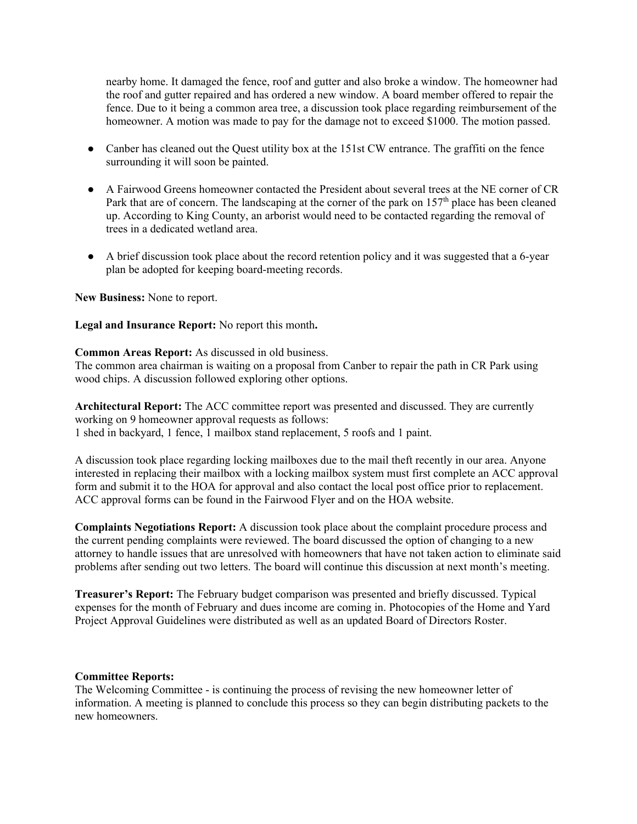nearby home. It damaged the fence, roof and gutter and also broke a window. The homeowner had the roof and gutter repaired and has ordered a new window. A board member offered to repair the fence. Due to it being a common area tree, a discussion took place regarding reimbursement of the homeowner. A motion was made to pay for the damage not to exceed \$1000. The motion passed.

- Canber has cleaned out the Quest utility box at the 151st CW entrance. The graffiti on the fence surrounding it will soon be painted.
- A Fairwood Greens homeowner contacted the President about several trees at the NE corner of CR Park that are of concern. The landscaping at the corner of the park on 157<sup>th</sup> place has been cleaned up. According to King County, an arborist would need to be contacted regarding the removal of trees in a dedicated wetland area.
- A brief discussion took place about the record retention policy and it was suggested that a 6-year plan be adopted for keeping board-meeting records.

**New Business:** None to report.

#### **Legal and Insurance Report:** No report this month**.**

**Common Areas Report:** As discussed in old business.

The common area chairman is waiting on a proposal from Canber to repair the path in CR Park using wood chips. A discussion followed exploring other options.

**Architectural Report:** The ACC committee report was presented and discussed. They are currently working on 9 homeowner approval requests as follows: 1 shed in backyard, 1 fence, 1 mailbox stand replacement, 5 roofs and 1 paint.

A discussion took place regarding locking mailboxes due to the mail theft recently in our area. Anyone interested in replacing their mailbox with a locking mailbox system must first complete an ACC approval form and submit it to the HOA for approval and also contact the local post office prior to replacement. ACC approval forms can be found in the Fairwood Flyer and on the HOA website.

**Complaints Negotiations Report:** A discussion took place about the complaint procedure process and the current pending complaints were reviewed. The board discussed the option of changing to a new attorney to handle issues that are unresolved with homeowners that have not taken action to eliminate said problems after sending out two letters. The board will continue this discussion at next month's meeting.

**Treasurer's Report:** The February budget comparison was presented and briefly discussed. Typical expenses for the month of February and dues income are coming in. Photocopies of the Home and Yard Project Approval Guidelines were distributed as well as an updated Board of Directors Roster.

#### **Committee Reports:**

The Welcoming Committee - is continuing the process of revising the new homeowner letter of information. A meeting is planned to conclude this process so they can begin distributing packets to the new homeowners.